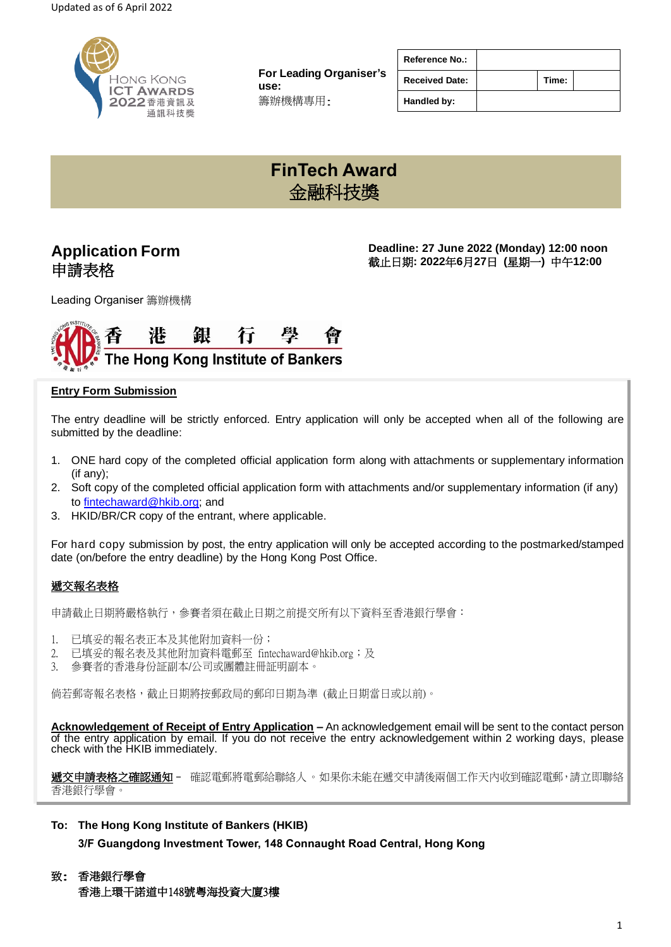

**For Leading Organiser's use:** 籌辦機構專用:

| <b>Reference No.:</b> |       |  |
|-----------------------|-------|--|
| <b>Received Date:</b> | Time: |  |
| Handled by:           |       |  |

# **FinTech Award** 金融科技獎

# **Application Form** 申請表格

**Deadline: 27 June 2022 (Monday) 12:00 noon** 截止日期**: 2022**年**6**月**27**日 **(**星期一**)** 中午**12:00**

Leading Organiser 籌辦機構



### **Entry Form Submission**

The entry deadline will be strictly enforced. Entry application will only be accepted when all of the following are submitted by the deadline:

- 1. ONE hard copy of the completed official application form along with attachments or supplementary information (if any);
- 2. Soft copy of the completed official application form with attachments and/or supplementary information (if any) to [fintechaward@hkib.org;](mailto:fintechaward@hkib.org) and
- 3. HKID/BR/CR copy of the entrant, where applicable.

For hard copy submission by post, the entry application will only be accepted according to the postmarked/stamped date (on/before the entry deadline) by the Hong Kong Post Office.

### 遞交報名表格

申請截止日期將嚴格執行,參賽者須在截止日期之前提交所有以下資料至香港銀行學會:

- 1. 已填妥的報名表正本及其他附加資料一份;
- 2. 已填妥的報名表及其他附加資料電郵至 fintechaward@hkib.org;及
- 3. 參賽者的香港身份証副本/公司或團體註冊証明副本。

倘若郵寄報名表格,截止日期將按郵政局的郵印日期為準 (截止日期當日或以前)。

**Acknowledgement of Receipt of Entry Application –** An acknowledgement email will be sent to the contact person of the entry application by email. If you do not receive the entry acknowledgement within 2 working days, please check with the HKIB immediately.

**遞交申請表格之確認通知-** 確認電郵將電郵給聯絡人。如果你未能在遞交申請後兩個工作天內收到確認電郵,請立即聯絡 香港銀行學會。

**To: The Hong Kong Institute of Bankers (HKIB)**

**3/F Guangdong Investment Tower, 148 Connaught Road Central, Hong Kong**

<sup>致</sup>: 香港銀行學會

香港上環干諾道中148號粵海投資大廈3樓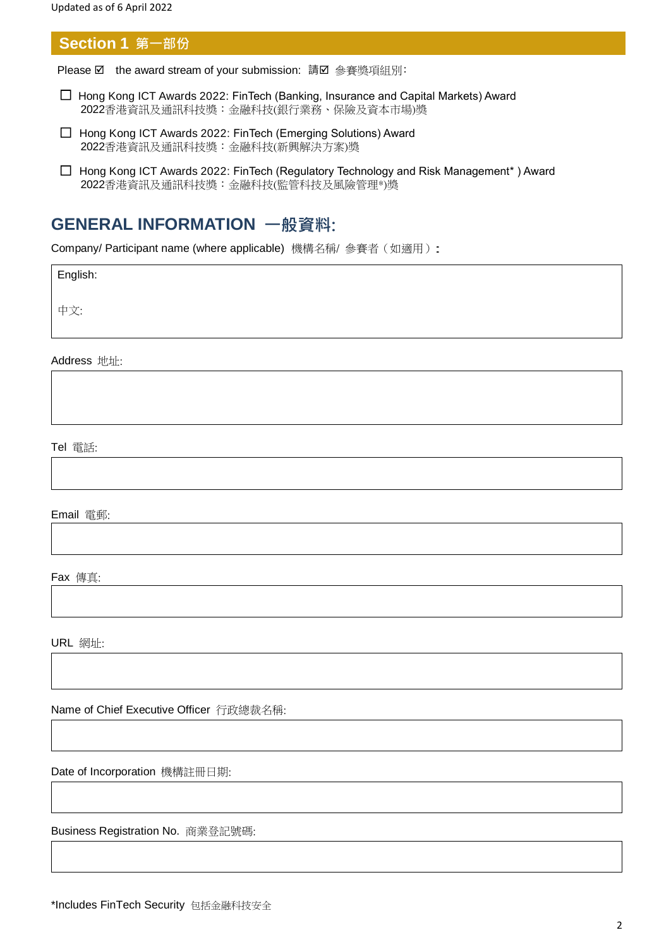**Section 1 第一部份**

Please **Ø** the award stream of your submission: 請 Ø 參賽獎項組別:

- ☐ Hong Kong ICT Awards 2022: FinTech (Banking, Insurance and Capital Markets) Award 2022香港資訊及通訊科技獎:金融科技(銀行業務、保險及資本市場)獎
- ☐ Hong Kong ICT Awards 2022: FinTech (Emerging Solutions) Award 2022香港資訊及通訊科技獎:金融科技(新興解決方案)獎
- ☐ Hong Kong ICT Awards 2022: FinTech (Regulatory Technology and Risk Management\* ) Award 2022香港資訊及通訊科技獎:金融科技(監管科技及風險管理\*)獎

# **GENERAL INFORMATION 一般資料:**

Company/ Participant name (where applicable) 機構名稱/ 參賽者(如適用):

English:

中文:

Address 地址:

Tel 電話:

Email 電郵:

Fax 傳真:

URL 網址:

Name of Chief Executive Officer 行政總裁名稱:

Date of Incorporation 機構註冊日期:

Business Registration No. 商業登記號碼: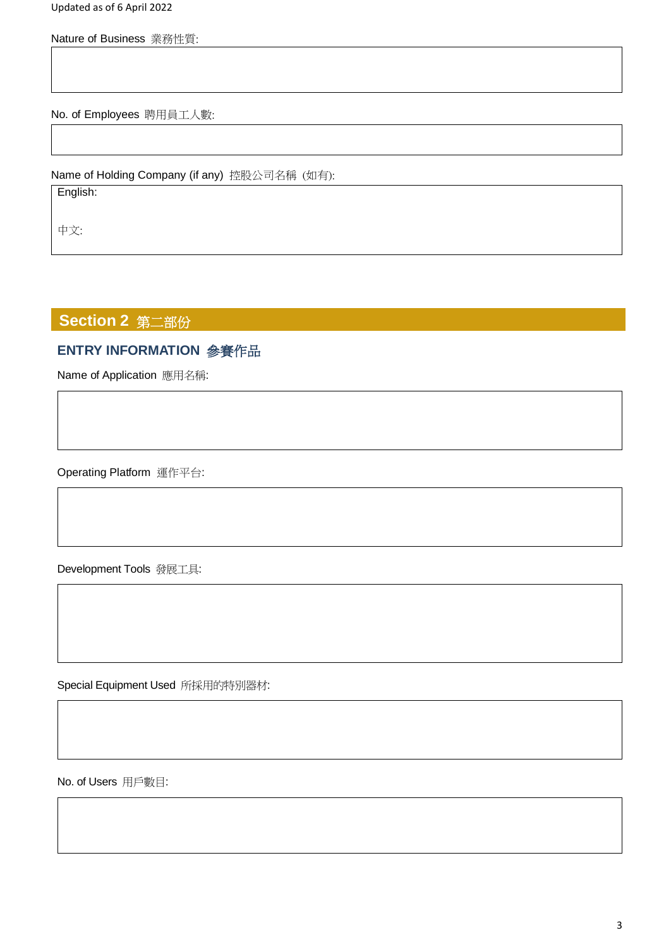Updated as of 6 April 2022

Nature of Business 業務性質:

No. of Employees 聘用員工人數:

Name of Holding Company (if any) 控股公司名稱 (如有):

English:

中文:

# **Section 2** 第二部份

# **ENTRY INFORMATION** 參賽作品

Name of Application 應用名稱:

Operating Platform 運作平台:

Development Tools 發展工具:

Special Equipment Used 所採用的特別器材:

No. of Users 用戶數目: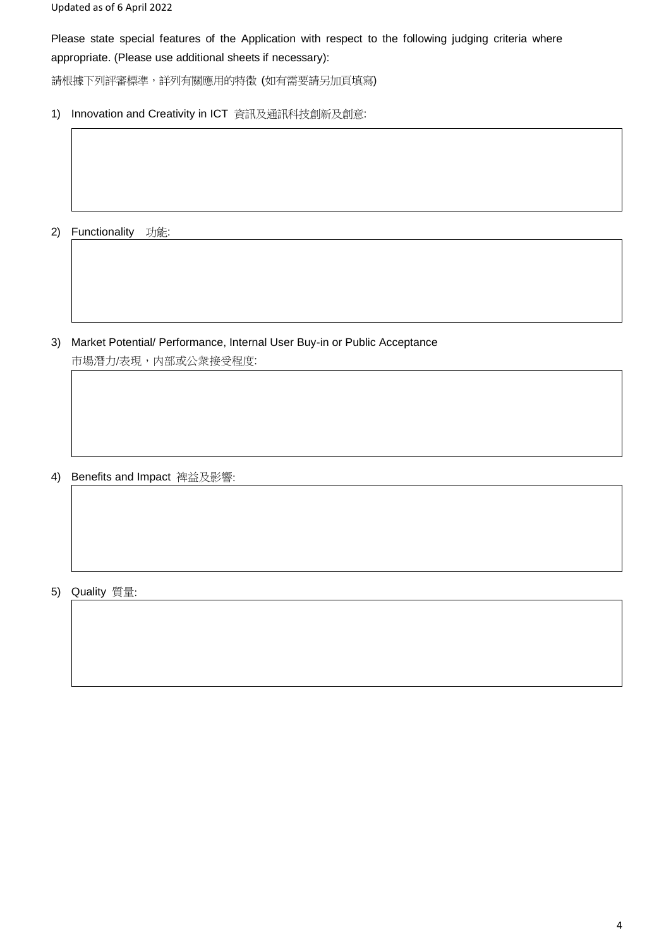Please state special features of the Application with respect to the following judging criteria where appropriate. (Please use additional sheets if necessary):

請根據下列評審標準,詳列有關應用的特徵 (如有需要請另加頁填寫)

1) Innovation and Creativity in ICT 資訊及通訊科技創新及創意:

2) Functionality 功能:

3) Market Potential/ Performance, Internal User Buy-in or Public Acceptance 市場潛力/表現,内部或公衆接受程度:

4) Benefits and Impact 裨益及影響:

5) Quality 質量: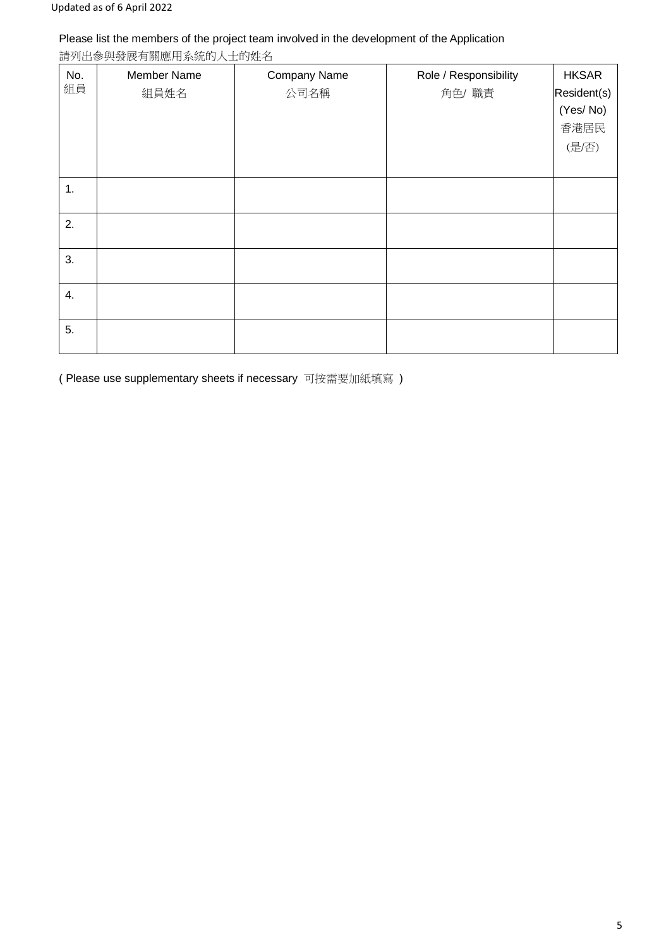### Please list the members of the project team involved in the development of the Application

請列出參與發展有關應用系統的人士的姓名

| No.<br>組員 | <b>Member Name</b><br>組員姓名 | Company Name<br>公司名稱 | Role / Responsibility<br>角色/ 職責 | <b>HKSAR</b><br>Resident(s)<br>(Yes/No)<br>香港居民<br>(是/否) |
|-----------|----------------------------|----------------------|---------------------------------|----------------------------------------------------------|
| 1.        |                            |                      |                                 |                                                          |
| 2.        |                            |                      |                                 |                                                          |
| 3.        |                            |                      |                                 |                                                          |
| 4.        |                            |                      |                                 |                                                          |
| 5.        |                            |                      |                                 |                                                          |

( Please use supplementary sheets if necessary 可按需要加紙填寫 )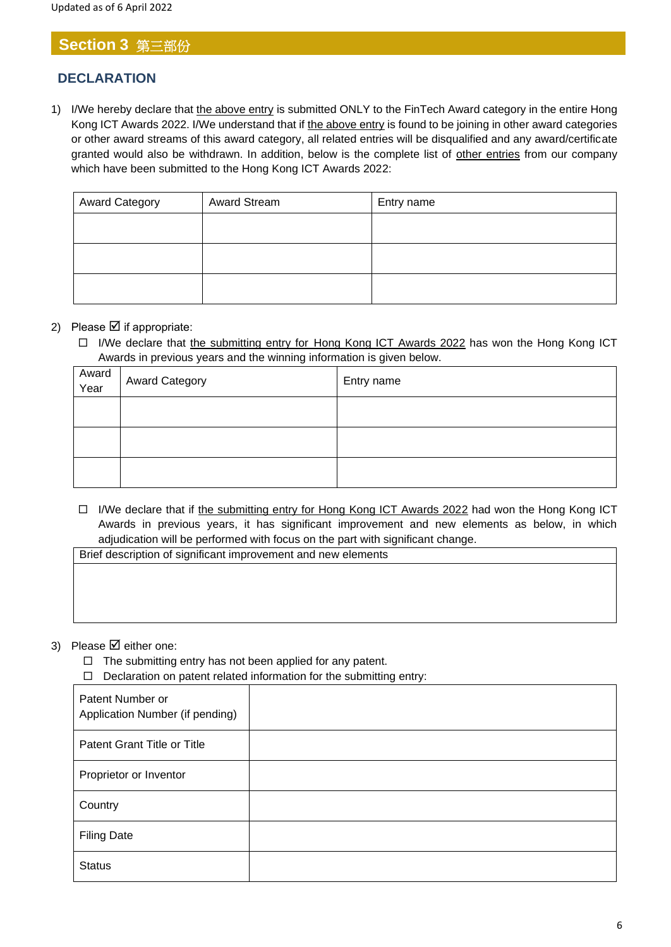# **Section 3** 第三部份

## **DECLARATION**

1) I/We hereby declare that the above entry is submitted ONLY to the FinTech Award category in the entire Hong Kong ICT Awards 2022. I/We understand that if the above entry is found to be joining in other award categories or other award streams of this award category, all related entries will be disqualified and any award/certificate granted would also be withdrawn. In addition, below is the complete list of other entries from our company which have been submitted to the Hong Kong ICT Awards 2022:

| <b>Award Category</b> | <b>Award Stream</b> | Entry name |
|-----------------------|---------------------|------------|
|                       |                     |            |
|                       |                     |            |
|                       |                     |            |
|                       |                     |            |
|                       |                     |            |

### 2) Please  $\boxtimes$  if appropriate:

□ I/We declare that the submitting entry for Hong Kong ICT Awards 2022 has won the Hong Kong ICT Awards in previous years and the winning information is given below.

| Award<br>Year | <b>Award Category</b> | Entry name |
|---------------|-----------------------|------------|
|               |                       |            |
|               |                       |            |
|               |                       |            |

□ I/We declare that if the submitting entry for Hong Kong ICT Awards 2022 had won the Hong Kong ICT Awards in previous years, it has significant improvement and new elements as below, in which adjudication will be performed with focus on the part with significant change.

Brief description of significant improvement and new elements

#### 3) Please  $\boxtimes$  either one:

- $\Box$  The submitting entry has not been applied for any patent.
- $\Box$  Declaration on patent related information for the submitting entry:

| Patent Number or<br>Application Number (if pending) |  |
|-----------------------------------------------------|--|
| Patent Grant Title or Title                         |  |
| Proprietor or Inventor                              |  |
| Country                                             |  |
| <b>Filing Date</b>                                  |  |
| <b>Status</b>                                       |  |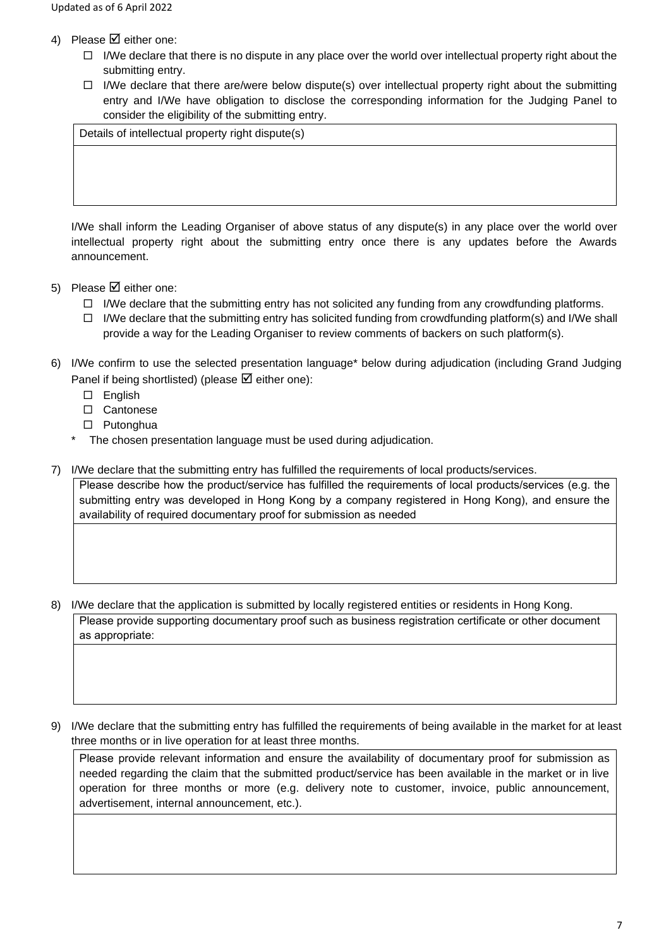- 4) Please  $\boxtimes$  either one:
	- $\Box$  I/We declare that there is no dispute in any place over the world over intellectual property right about the submitting entry.
	- $\Box$  I/We declare that there are/were below dispute(s) over intellectual property right about the submitting entry and I/We have obligation to disclose the corresponding information for the Judging Panel to consider the eligibility of the submitting entry.

Details of intellectual property right dispute(s)

I/We shall inform the Leading Organiser of above status of any dispute(s) in any place over the world over intellectual property right about the submitting entry once there is any updates before the Awards announcement.

- 5) Please  $\boxtimes$  either one:
	- $\Box$  I/We declare that the submitting entry has not solicited any funding from any crowdfunding platforms.
	- $\Box$  I/We declare that the submitting entry has solicited funding from crowdfunding platform(s) and I/We shall provide a way for the Leading Organiser to review comments of backers on such platform(s).
- 6) I/We confirm to use the selected presentation language\* below during adjudication (including Grand Judging Panel if being shortlisted) (please  $\boxtimes$  either one):
	- □ English
	- □ Cantonese
	- □ Putonghua
	- The chosen presentation language must be used during adjudication.
- 7) I/We declare that the submitting entry has fulfilled the requirements of local products/services.

Please describe how the product/service has fulfilled the requirements of local products/services (e.g. the submitting entry was developed in Hong Kong by a company registered in Hong Kong), and ensure the availability of required documentary proof for submission as needed

8) I/We declare that the application is submitted by locally registered entities or residents in Hong Kong.

Please provide supporting documentary proof such as business registration certificate or other document as appropriate:

9) I/We declare that the submitting entry has fulfilled the requirements of being available in the market for at least three months or in live operation for at least three months.

Please provide relevant information and ensure the availability of documentary proof for submission as needed regarding the claim that the submitted product/service has been available in the market or in live operation for three months or more (e.g. delivery note to customer, invoice, public announcement, advertisement, internal announcement, etc.).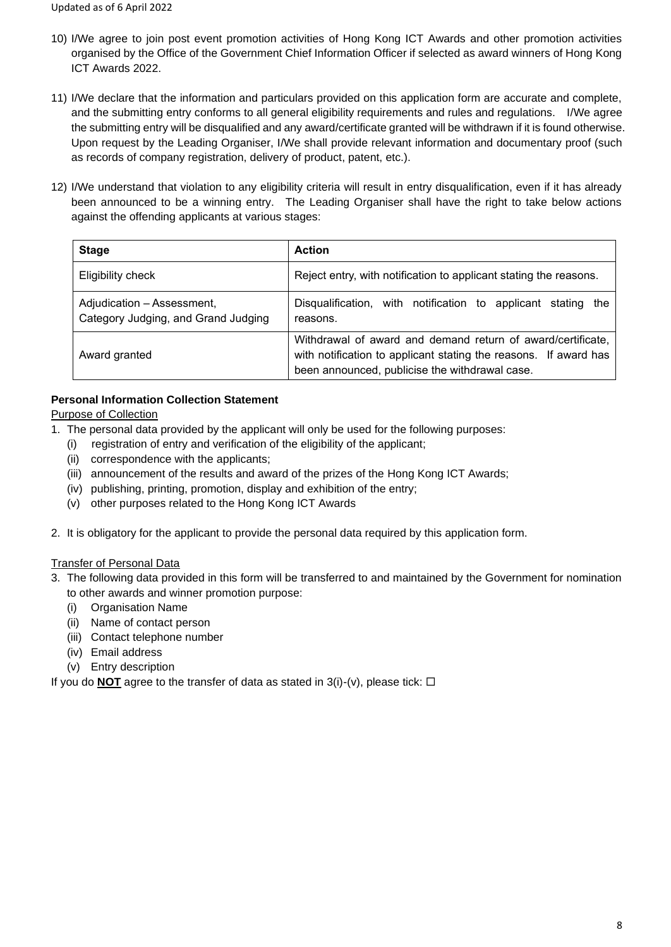- 10) I/We agree to join post event promotion activities of Hong Kong ICT Awards and other promotion activities organised by the Office of the Government Chief Information Officer if selected as award winners of Hong Kong ICT Awards 2022.
- 11) I/We declare that the information and particulars provided on this application form are accurate and complete, and the submitting entry conforms to all general eligibility requirements and rules and regulations. I/We agree the submitting entry will be disqualified and any award/certificate granted will be withdrawn if it is found otherwise. Upon request by the Leading Organiser, I/We shall provide relevant information and documentary proof (such as records of company registration, delivery of product, patent, etc.).
- 12) I/We understand that violation to any eligibility criteria will result in entry disqualification, even if it has already been announced to be a winning entry. The Leading Organiser shall have the right to take below actions against the offending applicants at various stages:

| <b>Stage</b>                                                      | <b>Action</b>                                                                                                                                                                     |
|-------------------------------------------------------------------|-----------------------------------------------------------------------------------------------------------------------------------------------------------------------------------|
| Eligibility check                                                 | Reject entry, with notification to applicant stating the reasons.                                                                                                                 |
| Adjudication - Assessment,<br>Category Judging, and Grand Judging | Disqualification, with notification to applicant stating the<br>reasons.                                                                                                          |
| Award granted                                                     | Withdrawal of award and demand return of award/certificate,<br>with notification to applicant stating the reasons. If award has<br>been announced, publicise the withdrawal case. |

### **Personal Information Collection Statement**

Purpose of Collection

- 1. The personal data provided by the applicant will only be used for the following purposes:
	- (i) registration of entry and verification of the eligibility of the applicant;
	- (ii) correspondence with the applicants;
	- (iii) announcement of the results and award of the prizes of the Hong Kong ICT Awards;
	- (iv) publishing, printing, promotion, display and exhibition of the entry;
	- (v) other purposes related to the Hong Kong ICT Awards
- 2. It is obligatory for the applicant to provide the personal data required by this application form.

#### Transfer of Personal Data

- 3. The following data provided in this form will be transferred to and maintained by the Government for nomination to other awards and winner promotion purpose:
	- (i) Organisation Name
	- (ii) Name of contact person
	- (iii) Contact telephone number
	- (iv) Email address
	- (v) Entry description

If you do **NOT** agree to the transfer of data as stated in  $3(i)-(v)$ , please tick:  $\Box$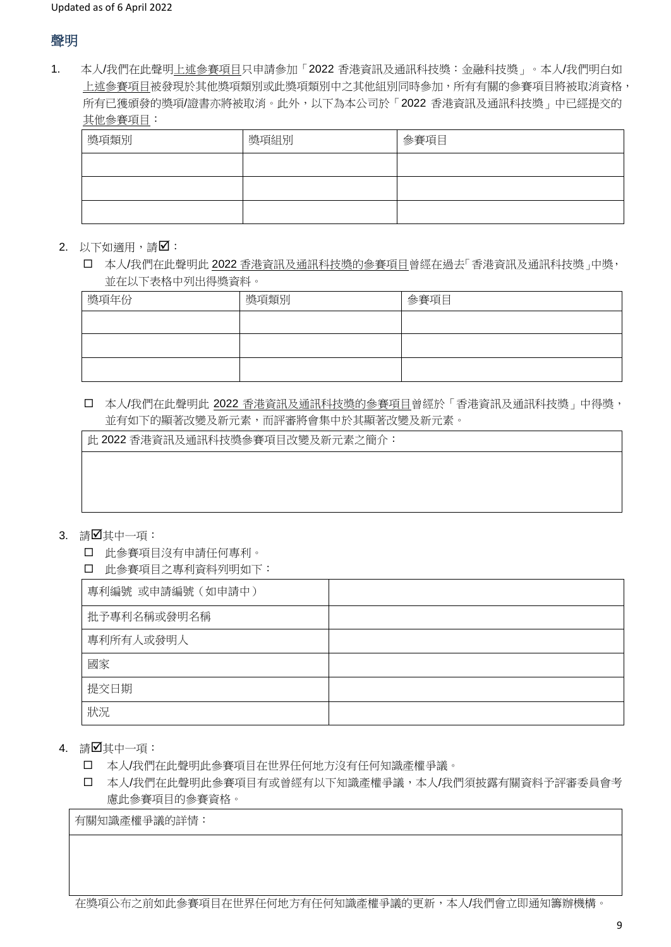# 聲明

1. 本人/我們在此聲明上述參賽項目只申請參加「2022 香港資訊及通訊科技獎:金融科技獎」。本人/我們明白如 上述參賽項目被發現於其他獎項類別或此獎項類別中之其他組別同時參加,所有有關的參賽項目將被取消資格, 所有已獲頒發的獎項/證書亦將被取消。此外,以下為本公司於「2022 香港資訊及通訊科技獎」中已經提交的 其他參賽項目:

| 獎項類別 | 獎項組別 | 參賽項目 |
|------|------|------|
|      |      |      |
|      |      |      |
|      |      |      |

 $2.$  以下如適用,請 $\square$ :

 本人/我們在此聲明此 2022 香港資訊及通訊科技獎的參賽項目曾經在過去「香港資訊及通訊科技獎」中獎, 並在以下表格中列出得獎資料。

| 獎項年份 | 獎項類別 | 參賽項目 |
|------|------|------|
|      |      |      |
|      |      |      |
|      |      |      |

 本人/我們在此聲明此 2022 香港資訊及通訊科技獎的參賽項目曾經於「香港資訊及通訊科技獎」中得獎, 並有如下的顯著改變及新元素,而評審將會集中於其顯著改變及新元素。

此 2022 香港資訊及通訊科技獎參賽項目改變及新元素之簡介:

#### 3. 請Ø其中一項:

- 此參賽項目沒有申請任何專利。
- 此參賽項目之專利資料列明如下:

| 專利編號 或申請編號 (如申請中) |  |
|-------------------|--|
| 批予專利名稱或發明名稱       |  |
| 專利所有人或發明人         |  |
| 國家                |  |
| 提交日期              |  |
| 狀況                |  |

- 4. 請Ø其中一項:
	- 本人/我們在此聲明此參賽項目在世界任何地方沒有任何知識產權爭議。
	- 本人/我們在此聲明此參賽項目有或曾經有以下知識產權爭議,本人/我們須披露有關資料予評審委員會考 慮此參賽項目的參賽資格。

有關知識產權爭議的詳情:

在獎項公布之前如此參賽項目在世界任何地方有任何知識產權爭議的更新,本人/我們會立即通知籌辦機構。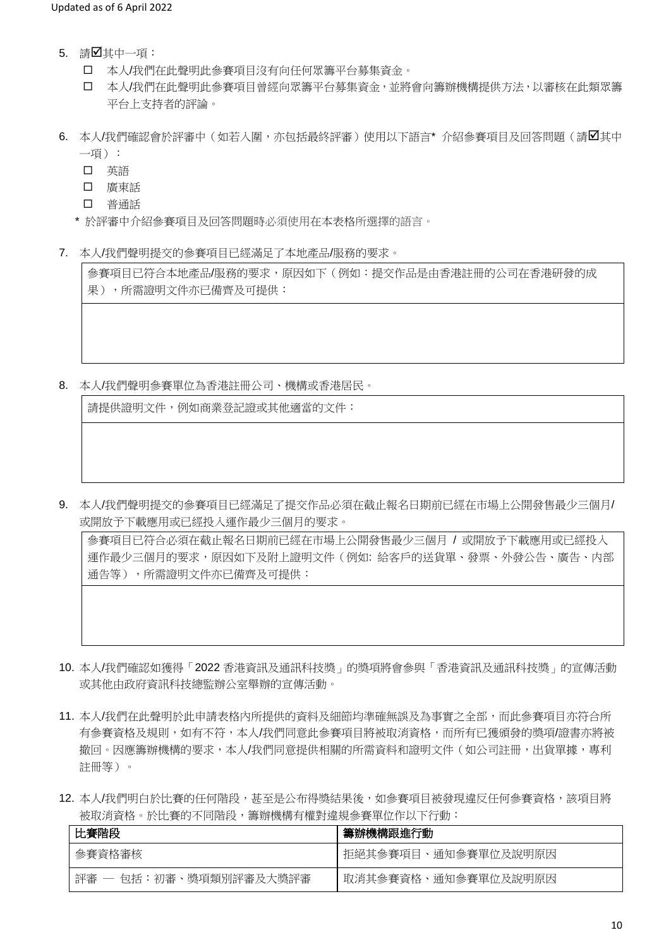- 5. 請Ø其中一項:
	- 本人/我們在此聲明此參賽項目沒有向任何眾籌平台募集資金。
	- 本人/我們在此聲明此參賽項目曾經向眾籌平台募集資金,並將會向籌辦機構提供方法,以審核在此類眾籌 平台上支持者的評論。
- 6. 本人/我們確認會於評審中(如若入圍,亦包括最終評審)使用以下語言\* 介紹參賽項目及回答問題(請Ø其中 一項):
	- 口 英語
	- 口 廣東話
	- 口 普通話
	- \* 於評審中介紹參賽項目及回答問題時必須使用在本表格所選擇的語言。
- 7. 本人/我們聲明提交的參賽項目已經滿足了本地產品/服務的要求。

參賽項目已符合本地產品/服務的要求,原因如下(例如:提交作品是由香港註冊的公司在香港研發的成 果),所需證明文件亦已備齊及可提供:

8. 本人/我們聲明參賽單位為香港註冊公司、機構或香港居民。

請提供證明文件,例如商業登記證或其他適當的文件:

9. 本人/我們聲明提交的參賽項目已經滿足了提交作品必須在截止報名日期前已經在市場上公開發售最少三個月/ 或開放予下載應用或已經投入運作最少三個月的要求。

參賽項目已符合必須在截止報名日期前已經在市場上公開發售最少三個月 / 或開放予下載應用或已經投入 運作最少三個月的要求,原因如下及附上證明文件(例如: 給客戶的送貨單、發票、外發公告、廣告、内部 通告等),所需證明文件亦已備齊及可提供:

- 10. 本人/我們確認如獲得「2022 香港資訊及通訊科技獎」的獎項將會參與「香港資訊及通訊科技獎」的宣傳活動 或其他由政府資訊科技總監辦公室舉辦的宣傳活動。
- 11. 本人/我們在此聲明於此申請表格內所提供的資料及細節均準確無誤及為事實之全部,而此參賽項目亦符合所 有參賽資格及規則,如有不符,本人/我們同意此參賽項目將被取消資格,而所有已獲頒發的獎項/證書亦將被 撤回。因應籌辦機構的要求,本人/我們同意提供相關的所需資料和證明文件 (如公司註冊,出貨單據,專利 註冊等)。
- 12. 本人/我們明白於比賽的任何階段,甚至是公布得獎結果後,如參賽項目被發現違反任何參賽資格,該項目將 被取消資格。於比賽的不同階段,籌辦機構有權對違規參賽單位作以下行動:

| 比賽階段                   | 籌辦機構跟進行動            |
|------------------------|---------------------|
| 參賽資格審核                 | 拒絕其參賽項目、通知參賽單位及說明原因 |
| 評審 ― 包括:初審、獎項類別評審及大獎評審 | 取消其參賽資格、通知參賽單位及說明原因 |